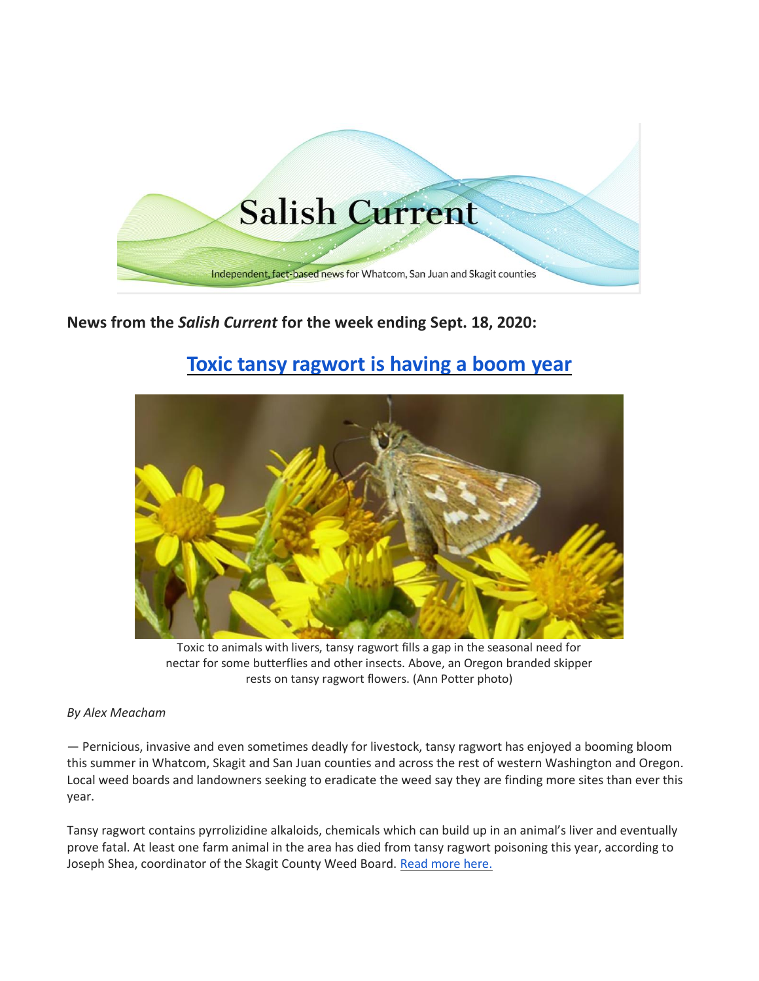

**News from the** *Salish Current* **for the week ending Sept. 18, 2020:**

# **[Toxic tansy ragwort is having a boom](https://salish-current.org/2020/09/14/toxic-tansy-ragwort-is-having-a-boom-year/) year**



Toxic to animals with livers, tansy ragwort fills a gap in the seasonal need for nectar for some butterflies and other insects. Above, an Oregon branded skipper rests on tansy ragwort flowers. (Ann Potter photo)

# *By Alex Meacham*

— Pernicious, invasive and even sometimes deadly for livestock, tansy ragwort has enjoyed a booming bloom this summer in Whatcom, Skagit and San Juan counties and across the rest of western Washington and Oregon. Local weed boards and landowners seeking to eradicate the weed say they are finding more sites than ever this year.

Tansy ragwort contains pyrrolizidine alkaloids, chemicals which can build up in an animal's liver and eventually prove fatal. At least one farm animal in the area has died from tansy ragwort poisoning this year, according to Joseph Shea, coordinator of the Skagit County Weed Board. [Read more here.](https://salish-current.org/2020/09/14/toxic-tansy-ragwort-is-having-a-boom-year/)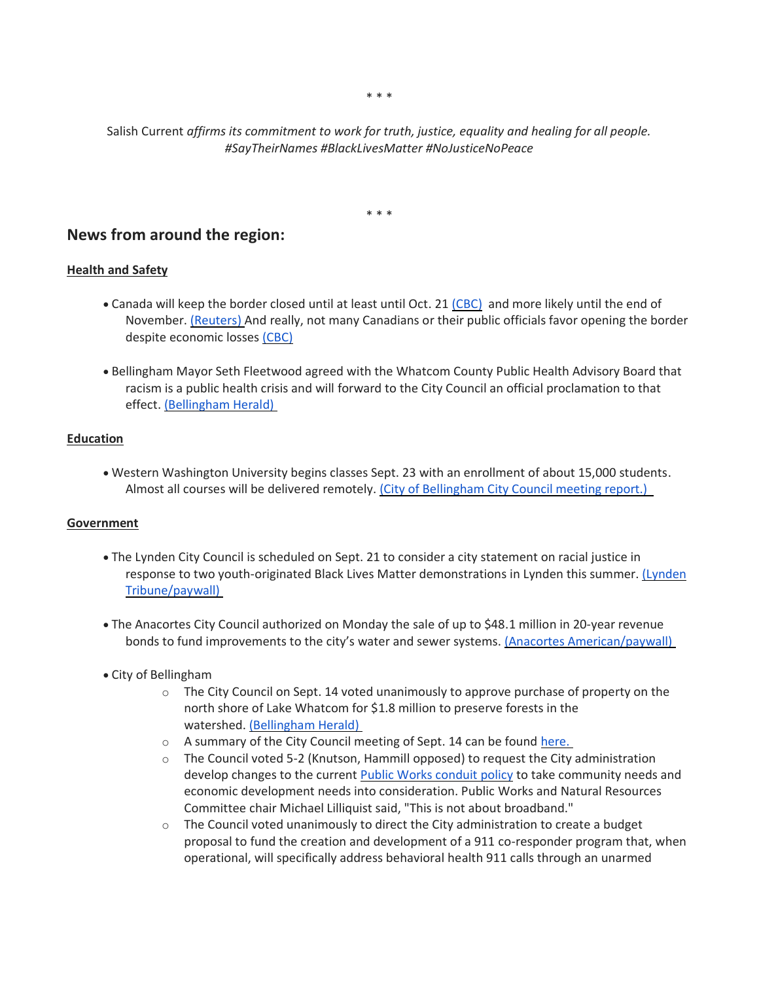\* \* \*

Salish Current *affirms its commitment to work for truth, justice, equality and healing for all people. #SayTheirNames #BlackLivesMatter #NoJusticeNoPeace*

\* \* \*

# **News from around the region:**

## **Health and Safety**

- Canada will keep the border closed until at least until Oct. 21 [\(CBC\)](https://www.cbc.ca/news/politics/canada-us-border-closure-extended-1.5725589) and more likely until the end of November. [\(Reuters\)](https://ca.reuters.com/article/us-health-coronavirus-usa-canada-idCAKBN2662RS?) And really, not many Canadians or their public officials favor opening the border despite economic losses [\(CBC\)](https://www.cbc.ca/news/business/canada-u-s-border-closure-support-mayors-tourism-trump-1.5722974)
- Bellingham Mayor Seth Fleetwood agreed with the Whatcom County Public Health Advisory Board that racism is a public health crisis and will forward to the City Council an official proclamation to that effect. [\(Bellingham Herald\)](https://www.bellinghamherald.com/news/local/article245740325.html)

#### **Education**

• Western Washington University begins classes Sept. 23 with an enrollment of about 15,000 students. Almost all courses will be delivered remotely. [\(City of Bellingham City Council meeting report.\)](https://meetings.cob.org/Meetings/ViewMeeting?id=2288&doctype=3)

#### **Government**

- The Lynden City Council is scheduled on Sept. 21 to consider a city statement on racial justice in response to two youth-originated Black Lives Matter demonstrations in Lynden this summer. [\(Lynden](https://www.lyndentribune.com/news/city-council-to-consider-racial-justice-statement/article_94cee87a-f7af-11ea-b1ec-6b5c3b791d8b.html)  [Tribune/paywall\)](https://www.lyndentribune.com/news/city-council-to-consider-racial-justice-statement/article_94cee87a-f7af-11ea-b1ec-6b5c3b791d8b.html)
- The Anacortes City Council authorized on Monday the sale of up to \$48.1 million in 20-year revenue bonds to fund improvements to the city's water and sewer systems. [\(Anacortes American/paywall\)](https://www.goskagit.com/anacortes/news/council-approves-48-1-million-bond-to-fund-water-sewer-improvements/article_3c2f71cc-f826-11ea-ae68-3f2c5dc6a575.html)
- City of Bellingham
	- $\circ$  The City Council on Sept. 14 voted unanimously to approve purchase of property on the north shore of Lake Whatcom for \$1.8 million to preserve forests in the watershed. [\(Bellingham Herald\)](https://www.bellinghamherald.com/news/local/article245789780.html)
	- o A summary of the City Council meeting of Sept. 14 can be found [here.](https://meetings.cob.org/Meetings/ViewMeeting?id=2288&doctype=3)
	- $\circ$  The Council voted 5-2 (Knutson, Hammill opposed) to request the City administration develop changes to the current [Public Works conduit policy](https://meetings.cob.org/Documents/ViewDocument/Attachment%20-%20CONDUIT%20POLICY%20-%20AB_%2022007.pdf?meetingId=2294&documentType=Agenda&itemId=15862&publishId=17164&isSection=false) to take community needs and economic development needs into consideration. Public Works and Natural Resources Committee chair Michael Lilliquist said, "This is not about broadband."
	- $\circ$  The Council voted unanimously to direct the City administration to create a budget proposal to fund the creation and development of a 911 co-responder program that, when operational, will specifically address behavioral health 911 calls through an unarmed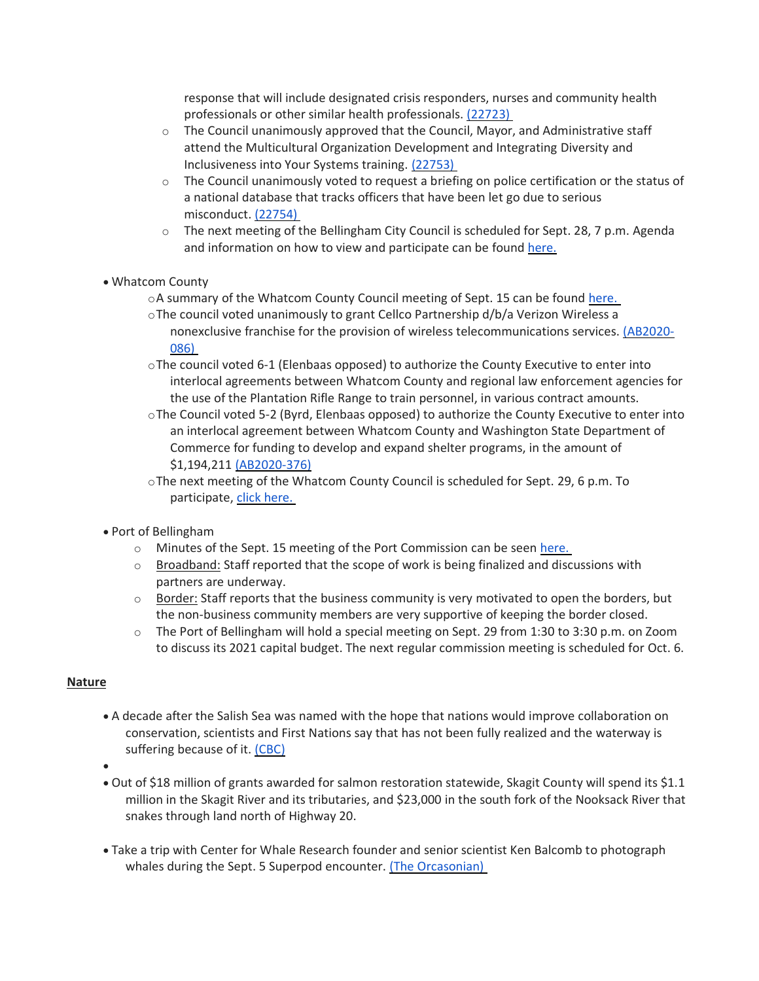response that will include designated crisis responders, nurses and community health professionals or other similar health professionals. [\(22723\)](https://meetings.cob.org/Documents/ViewDocument/Agenda%20Bill%2022723.pdf?meetingId=2312&documentType=Agenda&itemId=15960&publishId=17170&isSection=false)

- $\circ$  The Council unanimously approved that the Council, Mayor, and Administrative staff attend the Multicultural Organization Development and Integrating Diversity and Inclusiveness into Your Systems training. [\(22753\)](https://meetings.cob.org/Documents/ViewDocument/Agenda%20Bill%2022753.pdf?meetingId=2318&documentType=Agenda&itemId=15962&publishId=17255&isSection=false)
- o The Council unanimously voted to request a briefing on police certification or the status of a national database that tracks officers that have been let go due to serious misconduct. [\(22754\)](https://meetings.cob.org/Documents/ViewDocument/Agenda%20Bill%2022754.pdf?meetingId=2318&documentType=Agenda&itemId=15957&publishId=17264&isSection=false)
- o The next meeting of the Bellingham City Council is scheduled for Sept. 28, 7 p.m. Agenda and information on how to view and participate can be found [here.](https://meetings.cob.org/)
- Whatcom County
	- oA summary of the Whatcom County Council meeting of Sept. 15 can be found [here.](https://whatcom.legistar.com/View.ashx?M=E2&ID=735033&GUID=9B33ADCB-3FB2-4C89-9A2A-ABF3EA7C4A3F)
	- oThe council voted unanimously to grant Cellco Partnership d/b/a Verizon Wireless a nonexclusive franchise for the provision of wireless telecommunications services. [\(AB2020-](https://whatcom.legistar.com/View.ashx?M=F&ID=8081102&GUID=94AEF519-07CB-484B-8F7C-F9E785500206) [086\)](https://whatcom.legistar.com/View.ashx?M=F&ID=8081102&GUID=94AEF519-07CB-484B-8F7C-F9E785500206)
	- oThe council voted 6-1 (Elenbaas opposed) to authorize the County Executive to enter into interlocal agreements between Whatcom County and regional law enforcement agencies for the use of the Plantation Rifle Range to train personnel, in various contract amounts.
	- oThe Council voted 5-2 (Byrd, Elenbaas opposed) to authorize the County Executive to enter into an interlocal agreement between Whatcom County and Washington State Department of Commerce for funding to develop and expand shelter programs, in the amount of \$1,194,211 [\(AB2020-376\)](https://whatcom.legistar.com/View.ashx?M=F&ID=8774081&GUID=14052FB8-B779-48F5-B3E3-4C3CB50A7372)
	- oThe next meeting of the Whatcom County Council is scheduled for Sept. 29, 6 p.m. To participate, [click here.](http://www.whatcomcounty.us/3415/Participate-in-Virtual-Council-Meetings)
- Port of Bellingham
	- $\circ$  Minutes of the Sept. 15 meeting of the Port Commission can be seen [here.](https://www.portofbellingham.com/AgendaCenter/ViewFile/Minutes/_09152020-450)
	- o Broadband: Staff reported that the scope of work is being finalized and discussions with partners are underway.
	- $\circ$  Border: Staff reports that the business community is very motivated to open the borders, but the non-business community members are very supportive of keeping the border closed.
	- o The Port of Bellingham will hold a special meeting on Sept. 29 from 1:30 to 3:30 p.m. on Zoom to discuss its 2021 capital budget. The next regular commission meeting is scheduled for Oct. 6.

# **Nature**

• A decade after the Salish Sea was named with the hope that nations would improve collaboration on conservation, scientists and First Nations say that has not been fully realized and the waterway is suffering because of it. [\(CBC\)](https://www.cbc.ca/news/canada/british-columbia/salish-sea-10-years-1.5719577)

•

- Out of \$18 million of grants awarded for salmon restoration statewide, Skagit County will spend its \$1.1 million in the Skagit River and its tributaries, and \$23,000 in the south fork of the Nooksack River that snakes through land north of Highway 20.
- Take a trip with Center for Whale Research founder and senior scientist Ken Balcomb to photograph whales during the Sept. 5 Superpod encounter. [\(The Orcasonian\)](https://theorcasonian.com/78442-2/)